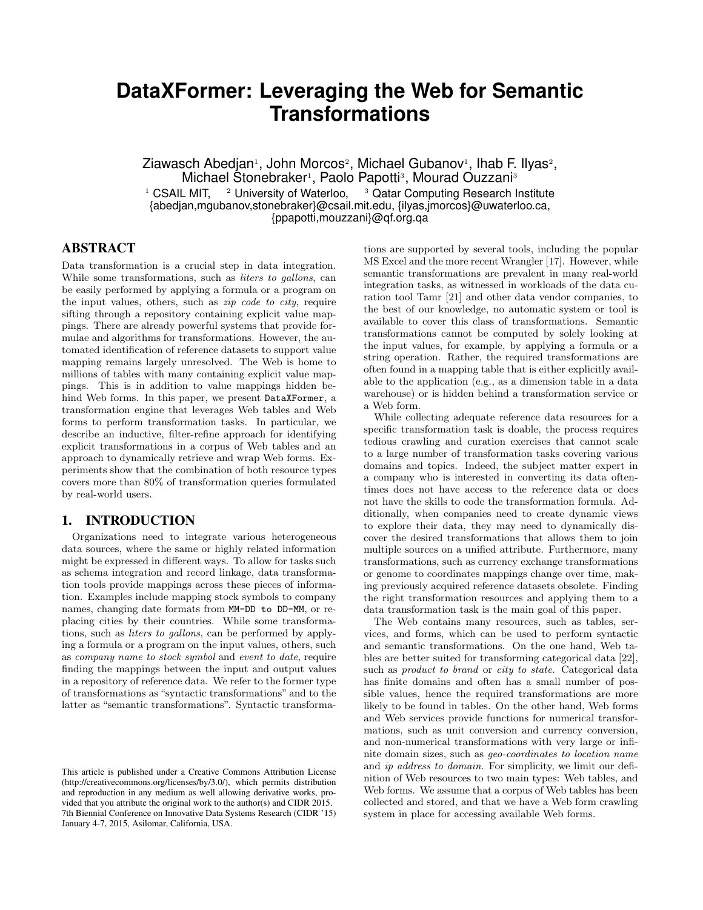# **DataXFormer: Leveraging the Web for Semantic Transformations**

Ziawasch Abedjan<sup>1</sup>, John Morcos<sup>2</sup>, Michael Gubanov<sup>1</sup>, Ihab F. Ilyas<sup>2</sup>, Michael Stonebraker<sup>1</sup>, Paolo Papotti<sup>3</sup>, Mourad Ouzzani<sup>3</sup> <sup>1</sup> CSAIL MIT, <sup>2</sup> University of Waterloo, <sup>3</sup> Qatar Computing Research Institute {abedjan,mgubanov,stonebraker}@csail.mit.edu, {ilyas,jmorcos}@uwaterloo.ca, {ppapotti,mouzzani}@qf.org.qa

### ABSTRACT

Data transformation is a crucial step in data integration. While some transformations, such as *liters to gallons*, can be easily performed by applying a formula or a program on the input values, others, such as zip code to city, require sifting through a repository containing explicit value mappings. There are already powerful systems that provide formulae and algorithms for transformations. However, the automated identification of reference datasets to support value mapping remains largely unresolved. The Web is home to millions of tables with many containing explicit value mappings. This is in addition to value mappings hidden behind Web forms. In this paper, we present DataXFormer, a transformation engine that leverages Web tables and Web forms to perform transformation tasks. In particular, we describe an inductive, filter-refine approach for identifying explicit transformations in a corpus of Web tables and an approach to dynamically retrieve and wrap Web forms. Experiments show that the combination of both resource types covers more than 80% of transformation queries formulated by real-world users.

### 1. INTRODUCTION

Organizations need to integrate various heterogeneous data sources, where the same or highly related information might be expressed in different ways. To allow for tasks such as schema integration and record linkage, data transformation tools provide mappings across these pieces of information. Examples include mapping stock symbols to company names, changing date formats from MM-DD to DD-MM, or replacing cities by their countries. While some transformations, such as liters to gallons, can be performed by applying a formula or a program on the input values, others, such as company name to stock symbol and event to date, require finding the mappings between the input and output values in a repository of reference data. We refer to the former type of transformations as "syntactic transformations" and to the latter as "semantic transformations". Syntactic transformations are supported by several tools, including the popular MS Excel and the more recent Wrangler [17]. However, while semantic transformations are prevalent in many real-world integration tasks, as witnessed in workloads of the data curation tool Tamr [21] and other data vendor companies, to the best of our knowledge, no automatic system or tool is available to cover this class of transformations. Semantic transformations cannot be computed by solely looking at the input values, for example, by applying a formula or a string operation. Rather, the required transformations are often found in a mapping table that is either explicitly available to the application (e.g., as a dimension table in a data warehouse) or is hidden behind a transformation service or a Web form.

While collecting adequate reference data resources for a specific transformation task is doable, the process requires tedious crawling and curation exercises that cannot scale to a large number of transformation tasks covering various domains and topics. Indeed, the subject matter expert in a company who is interested in converting its data oftentimes does not have access to the reference data or does not have the skills to code the transformation formula. Additionally, when companies need to create dynamic views to explore their data, they may need to dynamically discover the desired transformations that allows them to join multiple sources on a unified attribute. Furthermore, many transformations, such as currency exchange transformations or genome to coordinates mappings change over time, making previously acquired reference datasets obsolete. Finding the right transformation resources and applying them to a data transformation task is the main goal of this paper.

The Web contains many resources, such as tables, services, and forms, which can be used to perform syntactic and semantic transformations. On the one hand, Web tables are better suited for transforming categorical data [22], such as *product to brand* or *city to state*. Categorical data has finite domains and often has a small number of possible values, hence the required transformations are more likely to be found in tables. On the other hand, Web forms and Web services provide functions for numerical transformations, such as unit conversion and currency conversion, and non-numerical transformations with very large or infinite domain sizes, such as geo-coordinates to location name and ip address to domain. For simplicity, we limit our definition of Web resources to two main types: Web tables, and Web forms. We assume that a corpus of Web tables has been collected and stored, and that we have a Web form crawling system in place for accessing available Web forms.

This article is published under a Creative Commons Attribution License (http://creativecommons.org/licenses/by/3.0/), which permits distribution and reproduction in any medium as well allowing derivative works, provided that you attribute the original work to the author(s) and CIDR 2015. 7th Biennial Conference on Innovative Data Systems Research (CIDR '15) January 4-7, 2015, Asilomar, California, USA.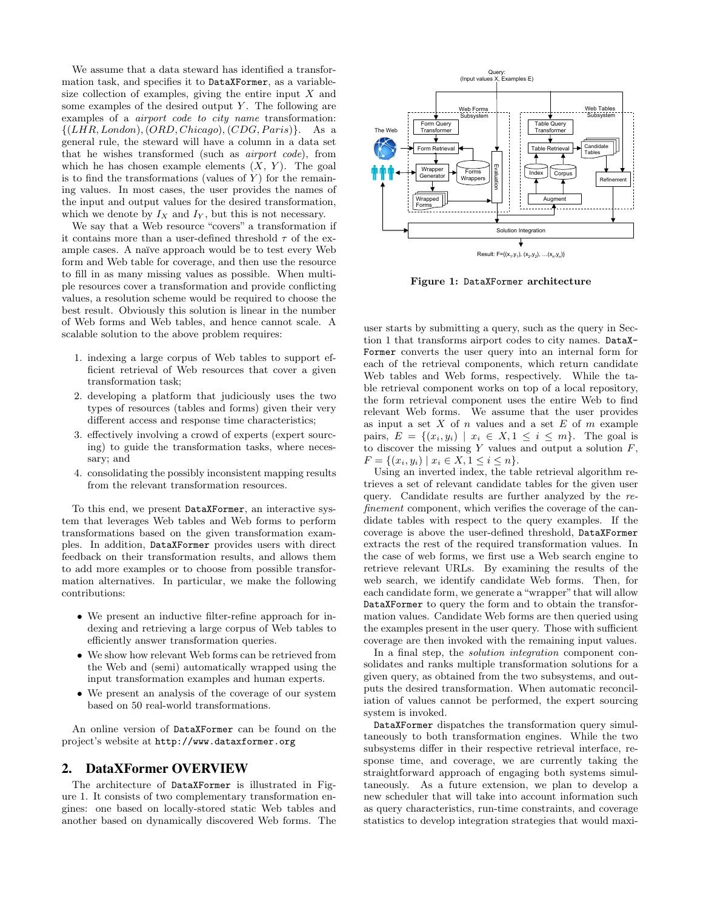We assume that a data steward has identified a transformation task, and specifies it to DataXFormer, as a variablesize collection of examples, giving the entire input  $X$  and some examples of the desired output  $Y$ . The following are examples of a airport code to city name transformation:  $\{(LHR, London), (ORD, Chicago), (CDG, Paris)\}.$  As a general rule, the steward will have a column in a data set that he wishes transformed (such as airport code), from which he has chosen example elements  $(X, Y)$ . The goal is to find the transformations (values of  $Y$ ) for the remaining values. In most cases, the user provides the names of the input and output values for the desired transformation, which we denote by  $I_X$  and  $I_Y$ , but this is not necessary.

We say that a Web resource "covers" a transformation if it contains more than a user-defined threshold  $\tau$  of the example cases. A naïve approach would be to test every Web form and Web table for coverage, and then use the resource to fill in as many missing values as possible. When multiple resources cover a transformation and provide conflicting values, a resolution scheme would be required to choose the best result. Obviously this solution is linear in the number of Web forms and Web tables, and hence cannot scale. A scalable solution to the above problem requires:

- 1. indexing a large corpus of Web tables to support efficient retrieval of Web resources that cover a given transformation task;
- 2. developing a platform that judiciously uses the two types of resources (tables and forms) given their very different access and response time characteristics;
- 3. effectively involving a crowd of experts (expert sourcing) to guide the transformation tasks, where necessary; and
- 4. consolidating the possibly inconsistent mapping results from the relevant transformation resources.

To this end, we present DataXFormer, an interactive system that leverages Web tables and Web forms to perform transformations based on the given transformation examples. In addition, DataXFormer provides users with direct feedback on their transformation results, and allows them to add more examples or to choose from possible transformation alternatives. In particular, we make the following contributions:

- We present an inductive filter-refine approach for indexing and retrieving a large corpus of Web tables to efficiently answer transformation queries.
- We show how relevant Web forms can be retrieved from the Web and (semi) automatically wrapped using the input transformation examples and human experts.
- We present an analysis of the coverage of our system based on 50 real-world transformations.

An online version of DataXFormer can be found on the project's website at http://www.dataxformer.org

### 2. DataXFormer OVERVIEW

The architecture of DataXFormer is illustrated in Figure 1. It consists of two complementary transformation engines: one based on locally-stored static Web tables and another based on dynamically discovered Web forms. The



Result:  $F = \{(x_1, y_1), (x_2, y_2), \ldots, (x_n, y_n)\}$ 

Figure 1: DataXFormer architecture

user starts by submitting a query, such as the query in Section 1 that transforms airport codes to city names. DataX-Former converts the user query into an internal form for each of the retrieval components, which return candidate Web tables and Web forms, respectively. While the table retrieval component works on top of a local repository, the form retrieval component uses the entire Web to find relevant Web forms. We assume that the user provides as input a set  $X$  of  $n$  values and a set  $E$  of  $m$  example pairs,  $E = \{(x_i, y_i) \mid x_i \in X, 1 \leq i \leq m\}$ . The goal is to discover the missing  $Y$  values and output a solution  $F$ ,  $F = \{(x_i, y_i) \mid x_i \in X, 1 \leq i \leq n\}.$ 

Using an inverted index, the table retrieval algorithm retrieves a set of relevant candidate tables for the given user query. Candidate results are further analyzed by the refinement component, which verifies the coverage of the candidate tables with respect to the query examples. If the coverage is above the user-defined threshold, DataXFormer extracts the rest of the required transformation values. In the case of web forms, we first use a Web search engine to retrieve relevant URLs. By examining the results of the web search, we identify candidate Web forms. Then, for each candidate form, we generate a "wrapper" that will allow DataXFormer to query the form and to obtain the transformation values. Candidate Web forms are then queried using the examples present in the user query. Those with sufficient coverage are then invoked with the remaining input values.

In a final step, the *solution integration* component consolidates and ranks multiple transformation solutions for a given query, as obtained from the two subsystems, and outputs the desired transformation. When automatic reconciliation of values cannot be performed, the expert sourcing system is invoked.

DataXFormer dispatches the transformation query simultaneously to both transformation engines. While the two subsystems differ in their respective retrieval interface, response time, and coverage, we are currently taking the straightforward approach of engaging both systems simultaneously. As a future extension, we plan to develop a new scheduler that will take into account information such as query characteristics, run-time constraints, and coverage statistics to develop integration strategies that would maxi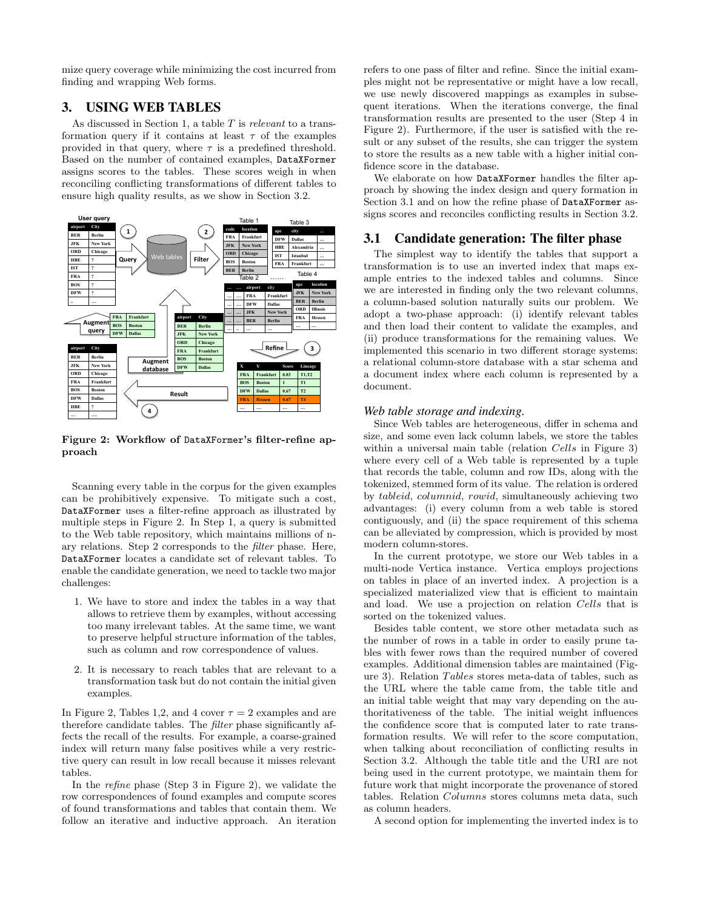mize query coverage while minimizing the cost incurred from finding and wrapping Web forms.

# 3. USING WEB TABLES

As discussed in Section 1, a table  $T$  is relevant to a transformation query if it contains at least  $\tau$  of the examples provided in that query, where  $\tau$  is a predefined threshold. Based on the number of contained examples, DataXFormer assigns scores to the tables. These scores weigh in when reconciling conflicting transformations of different tables to ensure high quality results, as we show in Section 3.2.



Figure 2: Workflow of DataXFormer's filter-refine approach

Scanning every table in the corpus for the given examples can be prohibitively expensive. To mitigate such a cost, DataXFormer uses a filter-refine approach as illustrated by multiple steps in Figure 2. In Step 1, a query is submitted to the Web table repository, which maintains millions of nary relations. Step 2 corresponds to the filter phase. Here, DataXFormer locates a candidate set of relevant tables. To enable the candidate generation, we need to tackle two major challenges:

- 1. We have to store and index the tables in a way that allows to retrieve them by examples, without accessing too many irrelevant tables. At the same time, we want to preserve helpful structure information of the tables, such as column and row correspondence of values.
- 2. It is necessary to reach tables that are relevant to a transformation task but do not contain the initial given examples.

In Figure 2, Tables 1,2, and 4 cover  $\tau = 2$  examples and are therefore candidate tables. The filter phase significantly affects the recall of the results. For example, a coarse-grained index will return many false positives while a very restrictive query can result in low recall because it misses relevant tables.

In the refine phase (Step 3 in Figure 2), we validate the row correspondences of found examples and compute scores of found transformations and tables that contain them. We follow an iterative and inductive approach. An iteration

refers to one pass of filter and refine. Since the initial examples might not be representative or might have a low recall, we use newly discovered mappings as examples in subsequent iterations. When the iterations converge, the final transformation results are presented to the user (Step 4 in Figure 2). Furthermore, if the user is satisfied with the result or any subset of the results, she can trigger the system to store the results as a new table with a higher initial confidence score in the database.

We elaborate on how DataXFormer handles the filter approach by showing the index design and query formation in Section 3.1 and on how the refine phase of DataXFormer assigns scores and reconciles conflicting results in Section 3.2.

### 3.1 Candidate generation: The filter phase

The simplest way to identify the tables that support a transformation is to use an inverted index that maps example entries to the indexed tables and columns. Since we are interested in finding only the two relevant columns, a column-based solution naturally suits our problem. We adopt a two-phase approach: (i) identify relevant tables and then load their content to validate the examples, and (ii) produce transformations for the remaining values. We implemented this scenario in two different storage systems: a relational column-store database with a star schema and a document index where each column is represented by a document.

#### *Web table storage and indexing.*

Since Web tables are heterogeneous, differ in schema and size, and some even lack column labels, we store the tables within a universal main table (relation *Cells* in Figure 3) where every cell of a Web table is represented by a tuple that records the table, column and row IDs, along with the tokenized, stemmed form of its value. The relation is ordered by tableid, columnid, rowid, simultaneously achieving two advantages: (i) every column from a web table is stored contiguously, and (ii) the space requirement of this schema can be alleviated by compression, which is provided by most modern column-stores.

In the current prototype, we store our Web tables in a multi-node Vertica instance. Vertica employs projections on tables in place of an inverted index. A projection is a specialized materialized view that is efficient to maintain and load. We use a projection on relation Cells that is sorted on the tokenized values.

Besides table content, we store other metadata such as the number of rows in a table in order to easily prune tables with fewer rows than the required number of covered examples. Additional dimension tables are maintained (Figure 3). Relation Tables stores meta-data of tables, such as the URL where the table came from, the table title and an initial table weight that may vary depending on the authoritativeness of the table. The initial weight influences the confidence score that is computed later to rate transformation results. We will refer to the score computation, when talking about reconciliation of conflicting results in Section 3.2. Although the table title and the URI are not being used in the current prototype, we maintain them for future work that might incorporate the provenance of stored tables. Relation Columns stores columns meta data, such as column headers.

A second option for implementing the inverted index is to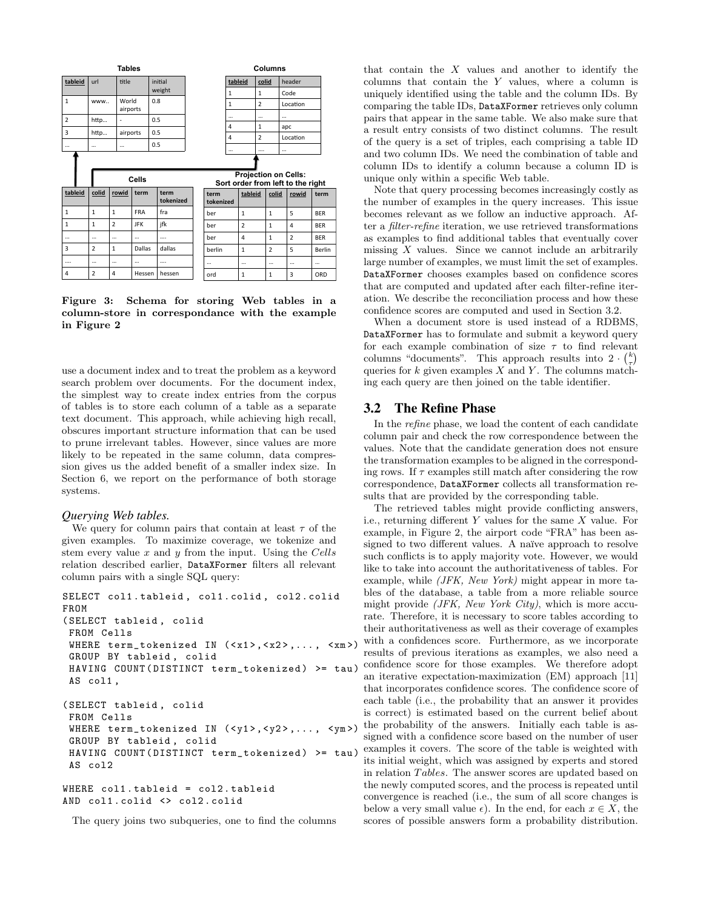

Figure 3: Schema for storing Web tables in a column-store in correspondance with the example in Figure 2

use a document index and to treat the problem as a keyword search problem over documents. For the document index, the simplest way to create index entries from the corpus of tables is to store each column of a table as a separate text document. This approach, while achieving high recall, obscures important structure information that can be used to prune irrelevant tables. However, since values are more likely to be repeated in the same column, data compression gives us the added benefit of a smaller index size. In Section 6, we report on the performance of both storage systems.

#### *Querying Web tables.*

We query for column pairs that contain at least  $\tau$  of the given examples. To maximize coverage, we tokenize and stem every value  $x$  and  $y$  from the input. Using the Cells relation described earlier, DataXFormer filters all relevant column pairs with a single SQL query:

```
SELECT col1 . tableid , col1 . colid , col2 . colid
FROM
( SELECT tableid , colid
 FROM Cells
 WHERE term_tokenized IN (<x1>, <x2>, ..., <xm>)
 GROUP BY tableid , colid
 HAVING COUNT (DISTINCT term_tokenized) >= tau)
 AS col1 ,
( SELECT tableid , colid
 FROM Cells
 WHERE term_tokenized IN (<y1>,<y2>,..., <ym>)
 GROUP BY tableid , colid
 HAVING COUNT (DISTINCT term_tokenized) >= tau)
 AS col2
WHERE col1.tableid = col2.tableid
```
AND col1 . colid <> col2 . colid

The query joins two subqueries, one to find the columns

that contain the  $X$  values and another to identify the columns that contain the Y values, where a column is uniquely identified using the table and the column IDs. By comparing the table IDs, DataXFormer retrieves only column pairs that appear in the same table. We also make sure that a result entry consists of two distinct columns. The result of the query is a set of triples, each comprising a table ID and two column IDs. We need the combination of table and column IDs to identify a column because a column ID is unique only within a specific Web table.

Note that query processing becomes increasingly costly as the number of examples in the query increases. This issue becomes relevant as we follow an inductive approach. After a filter-refine iteration, we use retrieved transformations as examples to find additional tables that eventually cover missing  $X$  values. Since we cannot include an arbitrarily large number of examples, we must limit the set of examples. DataXFormer chooses examples based on confidence scores that are computed and updated after each filter-refine iteration. We describe the reconciliation process and how these confidence scores are computed and used in Section 3.2.

When a document store is used instead of a RDBMS, DataXFormer has to formulate and submit a keyword query for each example combination of size  $\tau$  to find relevant columns "documents". This approach results into  $2 \cdot {k \choose \tau}$ queries for  $k$  given examples  $X$  and  $Y$ . The columns matching each query are then joined on the table identifier.

#### 3.2 The Refine Phase

In the refine phase, we load the content of each candidate column pair and check the row correspondence between the values. Note that the candidate generation does not ensure the transformation examples to be aligned in the corresponding rows. If  $\tau$  examples still match after considering the row correspondence, DataXFormer collects all transformation results that are provided by the corresponding table.

The retrieved tables might provide conflicting answers, i.e., returning different Y values for the same X value. For example, in Figure 2, the airport code "FRA" has been assigned to two different values. A naïve approach to resolve such conflicts is to apply majority vote. However, we would like to take into account the authoritativeness of tables. For example, while (JFK, New York) might appear in more tables of the database, a table from a more reliable source might provide (JFK, New York City), which is more accurate. Therefore, it is necessary to score tables according to their authoritativeness as well as their coverage of examples with a confidences score. Furthermore, as we incorporate results of previous iterations as examples, we also need a confidence score for those examples. We therefore adopt an iterative expectation-maximization (EM) approach [11] that incorporates confidence scores. The confidence score of each table (i.e., the probability that an answer it provides is correct) is estimated based on the current belief about the probability of the answers. Initially each table is assigned with a confidence score based on the number of user examples it covers. The score of the table is weighted with its initial weight, which was assigned by experts and stored in relation Tables. The answer scores are updated based on the newly computed scores, and the process is repeated until convergence is reached (i.e., the sum of all score changes is below a very small value  $\epsilon$ ). In the end, for each  $x \in X$ , the scores of possible answers form a probability distribution.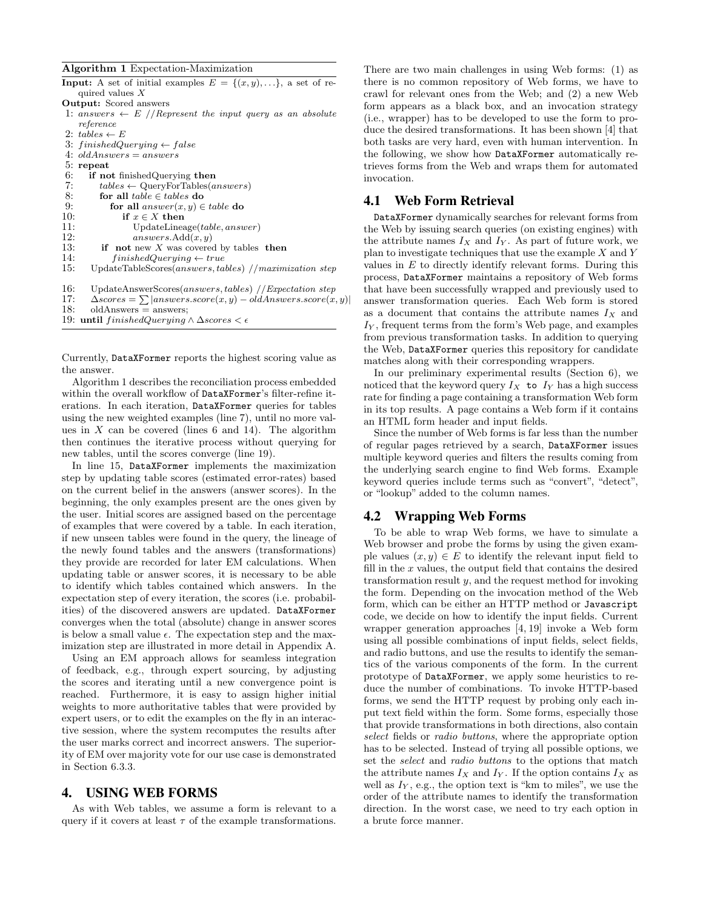#### Algorithm 1 Expectation-Maximization

| <b>Input:</b> A set of initial examples $E = \{(x, y), \ldots\}$ , a set of re- |
|---------------------------------------------------------------------------------|
| quired values $X$                                                               |
| <b>Output:</b> Scored answers                                                   |
| 1: answers $\leftarrow E$ //Represent the input query as an absolute            |
| reference                                                                       |
| 2: tables $\leftarrow$ E                                                        |
| 3: finishedQuerying $\leftarrow$ false                                          |
| 4: $oldAnswers = answers$                                                       |
| $5:$ repeat                                                                     |
| 6:<br>if not finished Querying then                                             |
| 7:<br>$tables \leftarrow$ QueryForTables( <i>answers</i> )                      |
| 8:<br>for all $table \in tables$ do                                             |
| 9:<br>for all $answer(x, y) \in table$ do                                       |
| 10:<br>if $x \in X$ then                                                        |
| 11:<br>UpdateLineage(table, answer)                                             |
| 12:<br>$answers.\nAdd(x, y)$                                                    |
| 13:<br><b>if</b> not new X was covered by tables then                           |
| 14:<br>$finishedQuerying \leftarrow true$                                       |
| 15:<br>UpdateTableScores $(answers, tables)$ //maximization step                |
| 16:<br>UpdateAnswerScores $(answers, tables)$ //Expectation step                |
| 17:<br>$\triangle scores = \sum  answers_score(x, y) - oldAnswers_score(x, y) $ |
| 18:<br>$oldAnswers = answers$                                                   |
| 19:<br>until finishedQuerying $\wedge$ $\Delta$ scores $\lt$ $\epsilon$         |

Currently, DataXFormer reports the highest scoring value as the answer.

Algorithm 1 describes the reconciliation process embedded within the overall workflow of DataXFormer's filter-refine iterations. In each iteration, DataXFormer queries for tables using the new weighted examples (line 7), until no more values in  $X$  can be covered (lines 6 and 14). The algorithm then continues the iterative process without querying for new tables, until the scores converge (line 19).

In line 15, DataXFormer implements the maximization step by updating table scores (estimated error-rates) based on the current belief in the answers (answer scores). In the beginning, the only examples present are the ones given by the user. Initial scores are assigned based on the percentage of examples that were covered by a table. In each iteration, if new unseen tables were found in the query, the lineage of the newly found tables and the answers (transformations) they provide are recorded for later EM calculations. When updating table or answer scores, it is necessary to be able to identify which tables contained which answers. In the expectation step of every iteration, the scores (i.e. probabilities) of the discovered answers are updated. DataXFormer converges when the total (absolute) change in answer scores is below a small value  $\epsilon$ . The expectation step and the maximization step are illustrated in more detail in Appendix A.

Using an EM approach allows for seamless integration of feedback, e.g., through expert sourcing, by adjusting the scores and iterating until a new convergence point is reached. Furthermore, it is easy to assign higher initial weights to more authoritative tables that were provided by expert users, or to edit the examples on the fly in an interactive session, where the system recomputes the results after the user marks correct and incorrect answers. The superiority of EM over majority vote for our use case is demonstrated in Section 6.3.3.

### 4. USING WEB FORMS

As with Web tables, we assume a form is relevant to a query if it covers at least  $\tau$  of the example transformations.

There are two main challenges in using Web forms: (1) as there is no common repository of Web forms, we have to crawl for relevant ones from the Web; and (2) a new Web form appears as a black box, and an invocation strategy (i.e., wrapper) has to be developed to use the form to produce the desired transformations. It has been shown [4] that both tasks are very hard, even with human intervention. In the following, we show how DataXFormer automatically retrieves forms from the Web and wraps them for automated invocation.

### 4.1 Web Form Retrieval

DataXFormer dynamically searches for relevant forms from the Web by issuing search queries (on existing engines) with the attribute names  $I_X$  and  $I_Y$ . As part of future work, we plan to investigate techniques that use the example  $X$  and  $Y$ values in  $E$  to directly identify relevant forms. During this process, DataXFormer maintains a repository of Web forms that have been successfully wrapped and previously used to answer transformation queries. Each Web form is stored as a document that contains the attribute names  $I_X$  and  $I_Y$ , frequent terms from the form's Web page, and examples from previous transformation tasks. In addition to querying the Web, DataXFormer queries this repository for candidate matches along with their corresponding wrappers.

In our preliminary experimental results (Section 6), we noticed that the keyword query  $I_X$  to  $I_Y$  has a high success rate for finding a page containing a transformation Web form in its top results. A page contains a Web form if it contains an HTML form header and input fields.

Since the number of Web forms is far less than the number of regular pages retrieved by a search, DataXFormer issues multiple keyword queries and filters the results coming from the underlying search engine to find Web forms. Example keyword queries include terms such as "convert", "detect", or "lookup" added to the column names.

#### 4.2 Wrapping Web Forms

To be able to wrap Web forms, we have to simulate a Web browser and probe the forms by using the given example values  $(x, y) \in E$  to identify the relevant input field to fill in the  $x$  values, the output field that contains the desired transformation result y, and the request method for invoking the form. Depending on the invocation method of the Web form, which can be either an HTTP method or Javascript code, we decide on how to identify the input fields. Current wrapper generation approaches [4, 19] invoke a Web form using all possible combinations of input fields, select fields, and radio buttons, and use the results to identify the semantics of the various components of the form. In the current prototype of DataXFormer, we apply some heuristics to reduce the number of combinations. To invoke HTTP-based forms, we send the HTTP request by probing only each input text field within the form. Some forms, especially those that provide transformations in both directions, also contain select fields or *radio buttons*, where the appropriate option has to be selected. Instead of trying all possible options, we set the select and radio buttons to the options that match the attribute names  $I_X$  and  $I_Y$ . If the option contains  $I_X$  as well as  $I_Y$ , e.g., the option text is "km to miles", we use the order of the attribute names to identify the transformation direction. In the worst case, we need to try each option in a brute force manner.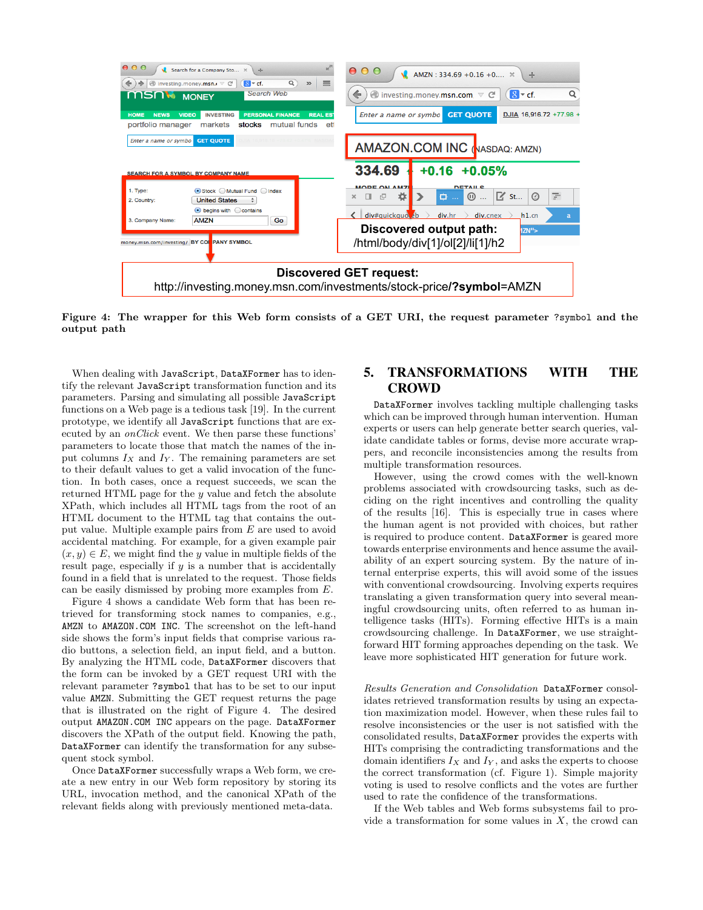

Figure 4: The wrapper for this Web form consists of a GET URI, the request parameter ?symbol and the output path

When dealing with JavaScript, DataXFormer has to identify the relevant JavaScript transformation function and its parameters. Parsing and simulating all possible JavaScript functions on a Web page is a tedious task [19]. In the current prototype, we identify all JavaScript functions that are executed by an onClick event. We then parse these functions' parameters to locate those that match the names of the input columns  $I_X$  and  $I_Y$ . The remaining parameters are set to their default values to get a valid invocation of the function. In both cases, once a request succeeds, we scan the returned HTML page for the y value and fetch the absolute XPath, which includes all HTML tags from the root of an HTML document to the HTML tag that contains the output value. Multiple example pairs from E are used to avoid accidental matching. For example, for a given example pair  $(x, y) \in E$ , we might find the y value in multiple fields of the result page, especially if  $y$  is a number that is accidentally found in a field that is unrelated to the request. Those fields can be easily dismissed by probing more examples from E.

Figure 4 shows a candidate Web form that has been retrieved for transforming stock names to companies, e.g., AMZN to AMAZON.COM INC. The screenshot on the left-hand side shows the form's input fields that comprise various radio buttons, a selection field, an input field, and a button. By analyzing the HTML code, DataXFormer discovers that the form can be invoked by a GET request URI with the relevant parameter ?symbol that has to be set to our input value AMZN. Submitting the GET request returns the page that is illustrated on the right of Figure 4. The desired output AMAZON.COM INC appears on the page. DataXFormer discovers the XPath of the output field. Knowing the path, DataXFormer can identify the transformation for any subsequent stock symbol.

Once DataXFormer successfully wraps a Web form, we create a new entry in our Web form repository by storing its URL, invocation method, and the canonical XPath of the relevant fields along with previously mentioned meta-data.

# 5. TRANSFORMATIONS WITH THE **CROWD**

DataXFormer involves tackling multiple challenging tasks which can be improved through human intervention. Human experts or users can help generate better search queries, validate candidate tables or forms, devise more accurate wrappers, and reconcile inconsistencies among the results from multiple transformation resources.

However, using the crowd comes with the well-known problems associated with crowdsourcing tasks, such as deciding on the right incentives and controlling the quality of the results [16]. This is especially true in cases where the human agent is not provided with choices, but rather is required to produce content. DataXFormer is geared more towards enterprise environments and hence assume the availability of an expert sourcing system. By the nature of internal enterprise experts, this will avoid some of the issues with conventional crowdsourcing. Involving experts requires translating a given transformation query into several meaningful crowdsourcing units, often referred to as human intelligence tasks (HITs). Forming effective HITs is a main crowdsourcing challenge. In DataXFormer, we use straightforward HIT forming approaches depending on the task. We leave more sophisticated HIT generation for future work.

Results Generation and Consolidation DataXFormer consolidates retrieved transformation results by using an expectation maximization model. However, when these rules fail to resolve inconsistencies or the user is not satisfied with the consolidated results, DataXFormer provides the experts with HITs comprising the contradicting transformations and the domain identifiers  $I_X$  and  $I_Y$ , and asks the experts to choose the correct transformation (cf. Figure 1). Simple majority voting is used to resolve conflicts and the votes are further used to rate the confidence of the transformations.

If the Web tables and Web forms subsystems fail to provide a transformation for some values in  $X$ , the crowd can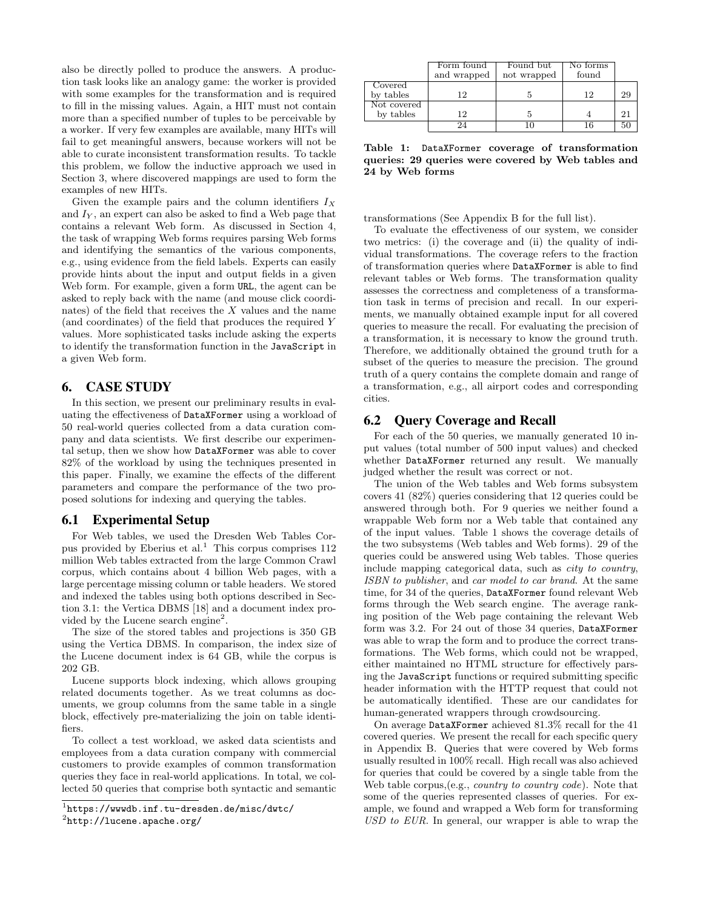also be directly polled to produce the answers. A production task looks like an analogy game: the worker is provided with some examples for the transformation and is required to fill in the missing values. Again, a HIT must not contain more than a specified number of tuples to be perceivable by a worker. If very few examples are available, many HITs will fail to get meaningful answers, because workers will not be able to curate inconsistent transformation results. To tackle this problem, we follow the inductive approach we used in Section 3, where discovered mappings are used to form the examples of new HITs.

Given the example pairs and the column identifiers  $I_X$ and  $I_Y$ , an expert can also be asked to find a Web page that contains a relevant Web form. As discussed in Section 4, the task of wrapping Web forms requires parsing Web forms and identifying the semantics of the various components, e.g., using evidence from the field labels. Experts can easily provide hints about the input and output fields in a given Web form. For example, given a form URL, the agent can be asked to reply back with the name (and mouse click coordinates) of the field that receives the  $X$  values and the name (and coordinates) of the field that produces the required Y values. More sophisticated tasks include asking the experts to identify the transformation function in the JavaScript in a given Web form.

### 6. CASE STUDY

In this section, we present our preliminary results in evaluating the effectiveness of DataXFormer using a workload of 50 real-world queries collected from a data curation company and data scientists. We first describe our experimental setup, then we show how DataXFormer was able to cover 82% of the workload by using the techniques presented in this paper. Finally, we examine the effects of the different parameters and compare the performance of the two proposed solutions for indexing and querying the tables.

### 6.1 Experimental Setup

For Web tables, we used the Dresden Web Tables Corpus provided by Eberius et al.<sup>1</sup> This corpus comprises  $112$ million Web tables extracted from the large Common Crawl corpus, which contains about 4 billion Web pages, with a large percentage missing column or table headers. We stored and indexed the tables using both options described in Section 3.1: the Vertica DBMS [18] and a document index provided by the Lucene search engine<sup>2</sup>.

The size of the stored tables and projections is 350 GB using the Vertica DBMS. In comparison, the index size of the Lucene document index is 64 GB, while the corpus is 202 GB.

Lucene supports block indexing, which allows grouping related documents together. As we treat columns as documents, we group columns from the same table in a single block, effectively pre-materializing the join on table identifiers.

To collect a test workload, we asked data scientists and employees from a data curation company with commercial customers to provide examples of common transformation queries they face in real-world applications. In total, we collected 50 queries that comprise both syntactic and semantic

|                      | Form found<br>and wrapped | Found but<br>not wrapped | No forms<br>found |    |
|----------------------|---------------------------|--------------------------|-------------------|----|
| Covered<br>by tables | 12                        |                          | 12                | 29 |
| Not covered          |                           |                          |                   |    |
| by tables            | 12                        |                          |                   | 21 |
|                      | 9Δ                        |                          | 16                | 50 |

Table 1: DataXFormer coverage of transformation queries: 29 queries were covered by Web tables and 24 by Web forms

transformations (See Appendix B for the full list).

To evaluate the effectiveness of our system, we consider two metrics: (i) the coverage and (ii) the quality of individual transformations. The coverage refers to the fraction of transformation queries where DataXFormer is able to find relevant tables or Web forms. The transformation quality assesses the correctness and completeness of a transformation task in terms of precision and recall. In our experiments, we manually obtained example input for all covered queries to measure the recall. For evaluating the precision of a transformation, it is necessary to know the ground truth. Therefore, we additionally obtained the ground truth for a subset of the queries to measure the precision. The ground truth of a query contains the complete domain and range of a transformation, e.g., all airport codes and corresponding cities.

#### 6.2 Query Coverage and Recall

For each of the 50 queries, we manually generated 10 input values (total number of 500 input values) and checked whether DataXFormer returned any result. We manually judged whether the result was correct or not.

The union of the Web tables and Web forms subsystem covers 41 (82%) queries considering that 12 queries could be answered through both. For 9 queries we neither found a wrappable Web form nor a Web table that contained any of the input values. Table 1 shows the coverage details of the two subsystems (Web tables and Web forms). 29 of the queries could be answered using Web tables. Those queries include mapping categorical data, such as city to country, ISBN to publisher, and car model to car brand. At the same time, for 34 of the queries, DataXFormer found relevant Web forms through the Web search engine. The average ranking position of the Web page containing the relevant Web form was 3.2. For 24 out of those 34 queries, DataXFormer was able to wrap the form and to produce the correct transformations. The Web forms, which could not be wrapped, either maintained no HTML structure for effectively parsing the JavaScript functions or required submitting specific header information with the HTTP request that could not be automatically identified. These are our candidates for human-generated wrappers through crowdsourcing.

On average DataXFormer achieved 81.3% recall for the 41 covered queries. We present the recall for each specific query in Appendix B. Queries that were covered by Web forms usually resulted in 100% recall. High recall was also achieved for queries that could be covered by a single table from the Web table corpus, (e.g., *country to country code*). Note that some of the queries represented classes of queries. For example, we found and wrapped a Web form for transforming USD to EUR. In general, our wrapper is able to wrap the

<sup>1</sup> https://wwwdb.inf.tu-dresden.de/misc/dwtc/

 $^{2}$ http://lucene.apache.org/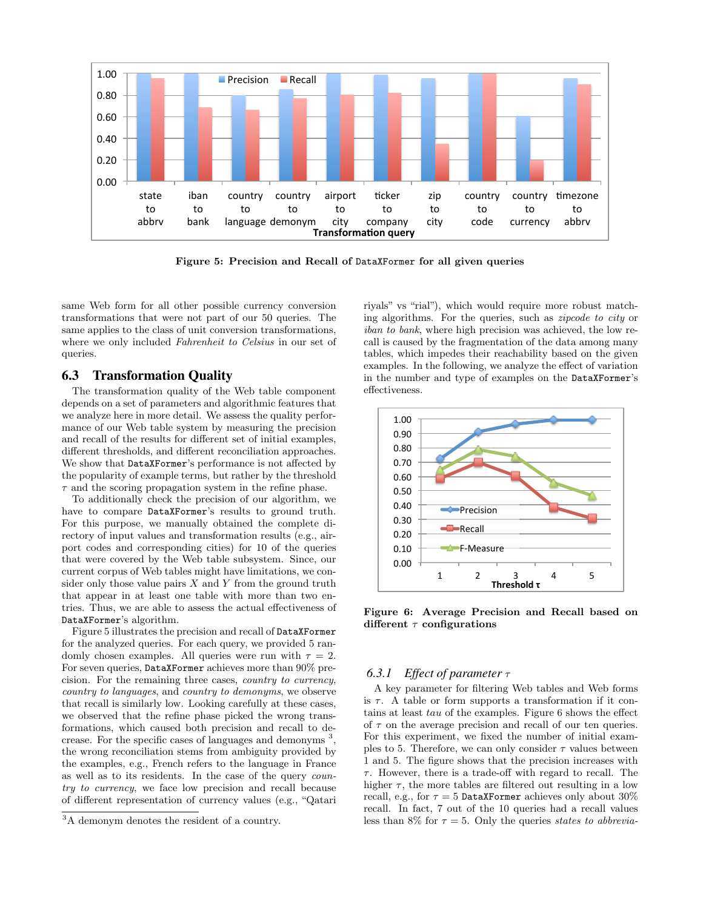

Figure 5: Precision and Recall of DataXFormer for all given queries

same Web form for all other possible currency conversion transformations that were not part of our 50 queries. The same applies to the class of unit conversion transformations, where we only included Fahrenheit to Celsius in our set of queries.

### 6.3 Transformation Quality

The transformation quality of the Web table component depends on a set of parameters and algorithmic features that we analyze here in more detail. We assess the quality performance of our Web table system by measuring the precision and recall of the results for different set of initial examples, different thresholds, and different reconciliation approaches. We show that DataXFormer's performance is not affected by the popularity of example terms, but rather by the threshold  $\tau$  and the scoring propagation system in the refine phase.

To additionally check the precision of our algorithm, we have to compare DataXFormer's results to ground truth. For this purpose, we manually obtained the complete directory of input values and transformation results (e.g., airport codes and corresponding cities) for 10 of the queries that were covered by the Web table subsystem. Since, our current corpus of Web tables might have limitations, we consider only those value pairs  $X$  and  $Y$  from the ground truth that appear in at least one table with more than two entries. Thus, we are able to assess the actual effectiveness of DataXFormer's algorithm.

Figure 5 illustrates the precision and recall of DataXFormer for the analyzed queries. For each query, we provided 5 randomly chosen examples. All queries were run with  $\tau = 2$ . For seven queries, DataXFormer achieves more than 90% precision. For the remaining three cases, country to currency, country to languages, and country to demonyms, we observe that recall is similarly low. Looking carefully at these cases, we observed that the refine phase picked the wrong transformations, which caused both precision and recall to decrease. For the specific cases of languages and demonyms <sup>3</sup> , the wrong reconciliation stems from ambiguity provided by the examples, e.g., French refers to the language in France as well as to its residents. In the case of the query country to currency, we face low precision and recall because of different representation of currency values (e.g., "Qatari riyals" vs "rial"), which would require more robust matching algorithms. For the queries, such as zipcode to city or iban to bank, where high precision was achieved, the low recall is caused by the fragmentation of the data among many tables, which impedes their reachability based on the given examples. In the following, we analyze the effect of variation in the number and type of examples on the DataXFormer's effectiveness.



Figure 6: Average Precision and Recall based on different  $\tau$  configurations

#### *6.3.1 Effect of parameter* τ

A key parameter for filtering Web tables and Web forms is  $\tau$ . A table or form supports a transformation if it contains at least tau of the examples. Figure 6 shows the effect of  $\tau$  on the average precision and recall of our ten queries. For this experiment, we fixed the number of initial examples to 5. Therefore, we can only consider  $\tau$  values between 1 and 5. The figure shows that the precision increases with  $\tau$ . However, there is a trade-off with regard to recall. The higher  $\tau$ , the more tables are filtered out resulting in a low recall, e.g., for  $\tau = 5$  DataXFormer achieves only about 30% recall. In fact, 7 out of the 10 queries had a recall values less than 8% for  $\tau = 5$ . Only the queries states to abbrevia-

<sup>&</sup>lt;sup>3</sup>A demonym denotes the resident of a country.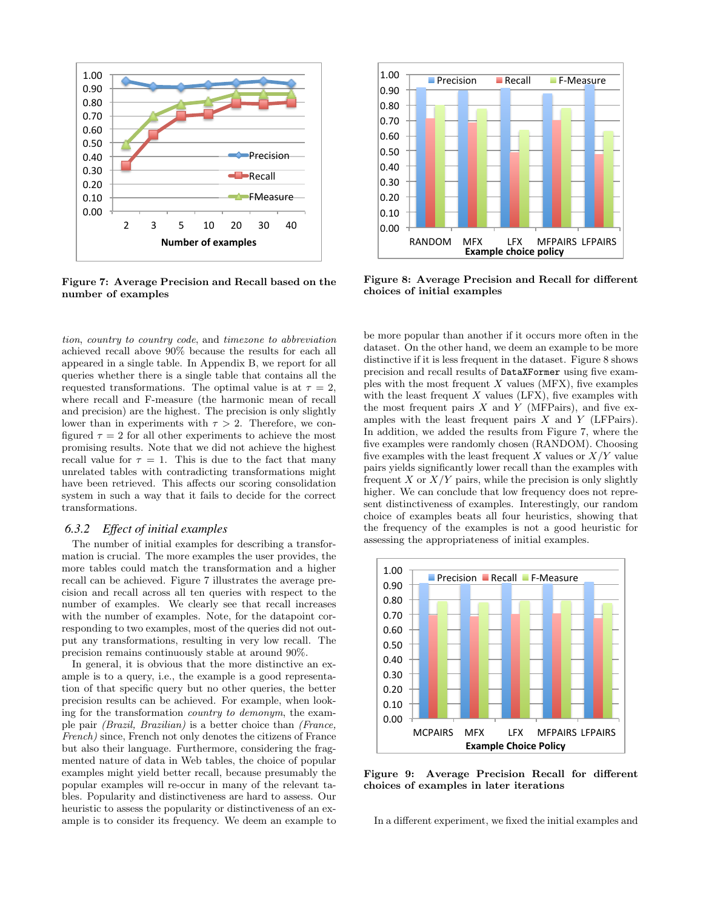

Figure 7: Average Precision and Recall based on the number of examples

tion, country to country code, and timezone to abbreviation achieved recall above 90% because the results for each all appeared in a single table. In Appendix B, we report for all queries whether there is a single table that contains all the requested transformations. The optimal value is at  $\tau = 2$ , where recall and F-measure (the harmonic mean of recall and precision) are the highest. The precision is only slightly lower than in experiments with  $\tau > 2$ . Therefore, we configured  $\tau = 2$  for all other experiments to achieve the most promising results. Note that we did not achieve the highest recall value for  $\tau = 1$ . This is due to the fact that many unrelated tables with contradicting transformations might have been retrieved. This affects our scoring consolidation system in such a way that it fails to decide for the correct transformations.

#### *6.3.2 Effect of initial examples*

The number of initial examples for describing a transformation is crucial. The more examples the user provides, the more tables could match the transformation and a higher recall can be achieved. Figure 7 illustrates the average precision and recall across all ten queries with respect to the number of examples. We clearly see that recall increases with the number of examples. Note, for the datapoint corresponding to two examples, most of the queries did not output any transformations, resulting in very low recall. The precision remains continuously stable at around 90%.

In general, it is obvious that the more distinctive an example is to a query, i.e., the example is a good representation of that specific query but no other queries, the better precision results can be achieved. For example, when looking for the transformation country to demonym, the example pair (Brazil, Brazilian) is a better choice than (France, French) since, French not only denotes the citizens of France but also their language. Furthermore, considering the fragmented nature of data in Web tables, the choice of popular examples might yield better recall, because presumably the popular examples will re-occur in many of the relevant tables. Popularity and distinctiveness are hard to assess. Our heuristic to assess the popularity or distinctiveness of an example is to consider its frequency. We deem an example to



Figure 8: Average Precision and Recall for different choices of initial examples

be more popular than another if it occurs more often in the dataset. On the other hand, we deem an example to be more distinctive if it is less frequent in the dataset. Figure 8 shows precision and recall results of DataXFormer using five examples with the most frequent  $X$  values (MFX), five examples with the least frequent  $X$  values (LFX), five examples with the most frequent pairs  $X$  and  $Y$  (MFPairs), and five examples with the least frequent pairs  $X$  and  $Y$  (LFPairs). In addition, we added the results from Figure 7, where the five examples were randomly chosen (RANDOM). Choosing five examples with the least frequent  $X$  values or  $X/Y$  value pairs yields significantly lower recall than the examples with frequent  $X$  or  $X/Y$  pairs, while the precision is only slightly higher. We can conclude that low frequency does not represent distinctiveness of examples. Interestingly, our random choice of examples beats all four heuristics, showing that the frequency of the examples is not a good heuristic for assessing the appropriateness of initial examples.



Figure 9: Average Precision Recall for different choices of examples in later iterations

In a different experiment, we fixed the initial examples and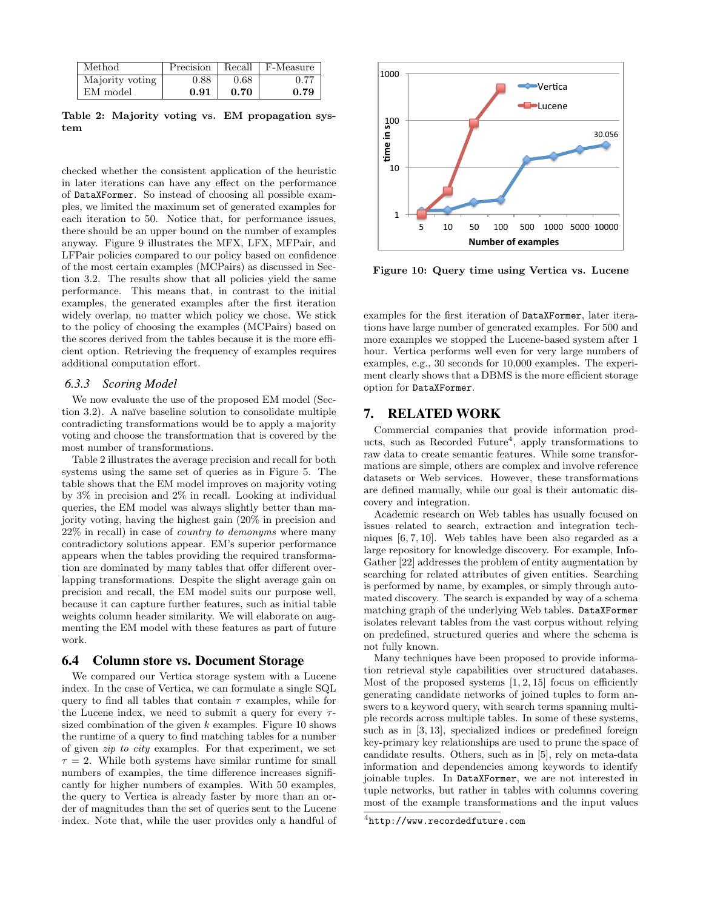| Method          | Precision | Recall | F-Measure     |
|-----------------|-----------|--------|---------------|
| Majority voting | 0.88      | 0.68   | $0.7^{\circ}$ |
| EM model        | 0.91      | 0.70   | 0.79          |

Table 2: Majority voting vs. EM propagation system

checked whether the consistent application of the heuristic in later iterations can have any effect on the performance of DataXFormer. So instead of choosing all possible examples, we limited the maximum set of generated examples for each iteration to 50. Notice that, for performance issues, there should be an upper bound on the number of examples anyway. Figure 9 illustrates the MFX, LFX, MFPair, and LFPair policies compared to our policy based on confidence of the most certain examples (MCPairs) as discussed in Section 3.2. The results show that all policies yield the same performance. This means that, in contrast to the initial examples, the generated examples after the first iteration widely overlap, no matter which policy we chose. We stick to the policy of choosing the examples (MCPairs) based on the scores derived from the tables because it is the more efficient option. Retrieving the frequency of examples requires additional computation effort.

#### *6.3.3 Scoring Model*

We now evaluate the use of the proposed EM model (Section 3.2). A naïve baseline solution to consolidate multiple contradicting transformations would be to apply a majority voting and choose the transformation that is covered by the most number of transformations.

Table 2 illustrates the average precision and recall for both systems using the same set of queries as in Figure 5. The table shows that the EM model improves on majority voting by 3% in precision and 2% in recall. Looking at individual queries, the EM model was always slightly better than majority voting, having the highest gain (20% in precision and 22% in recall) in case of country to demonyms where many contradictory solutions appear. EM's superior performance appears when the tables providing the required transformation are dominated by many tables that offer different overlapping transformations. Despite the slight average gain on precision and recall, the EM model suits our purpose well, because it can capture further features, such as initial table weights column header similarity. We will elaborate on augmenting the EM model with these features as part of future work.

#### 6.4 Column store vs. Document Storage

We compared our Vertica storage system with a Lucene index. In the case of Vertica, we can formulate a single SQL query to find all tables that contain  $\tau$  examples, while for the Lucene index, we need to submit a query for every  $\tau$ sized combination of the given  $k$  examples. Figure 10 shows the runtime of a query to find matching tables for a number of given zip to city examples. For that experiment, we set  $\tau = 2$ . While both systems have similar runtime for small numbers of examples, the time difference increases significantly for higher numbers of examples. With 50 examples, the query to Vertica is already faster by more than an order of magnitudes than the set of queries sent to the Lucene index. Note that, while the user provides only a handful of



Figure 10: Query time using Vertica vs. Lucene

examples for the first iteration of DataXFormer, later iterations have large number of generated examples. For 500 and more examples we stopped the Lucene-based system after 1 hour. Vertica performs well even for very large numbers of examples, e.g., 30 seconds for 10,000 examples. The experiment clearly shows that a DBMS is the more efficient storage option for DataXFormer.

#### 7. RELATED WORK

Commercial companies that provide information products, such as Recorded Future<sup>4</sup>, apply transformations to raw data to create semantic features. While some transformations are simple, others are complex and involve reference datasets or Web services. However, these transformations are defined manually, while our goal is their automatic discovery and integration.

Academic research on Web tables has usually focused on issues related to search, extraction and integration techniques [6, 7, 10]. Web tables have been also regarded as a large repository for knowledge discovery. For example, Info-Gather [22] addresses the problem of entity augmentation by searching for related attributes of given entities. Searching is performed by name, by examples, or simply through automated discovery. The search is expanded by way of a schema matching graph of the underlying Web tables. DataXFormer isolates relevant tables from the vast corpus without relying on predefined, structured queries and where the schema is not fully known.

Many techniques have been proposed to provide information retrieval style capabilities over structured databases. Most of the proposed systems  $[1, 2, 15]$  focus on efficiently generating candidate networks of joined tuples to form answers to a keyword query, with search terms spanning multiple records across multiple tables. In some of these systems, such as in [3, 13], specialized indices or predefined foreign key-primary key relationships are used to prune the space of candidate results. Others, such as in [5], rely on meta-data information and dependencies among keywords to identify joinable tuples. In DataXFormer, we are not interested in tuple networks, but rather in tables with columns covering most of the example transformations and the input values

 $^4$ http://www.recordedfuture.com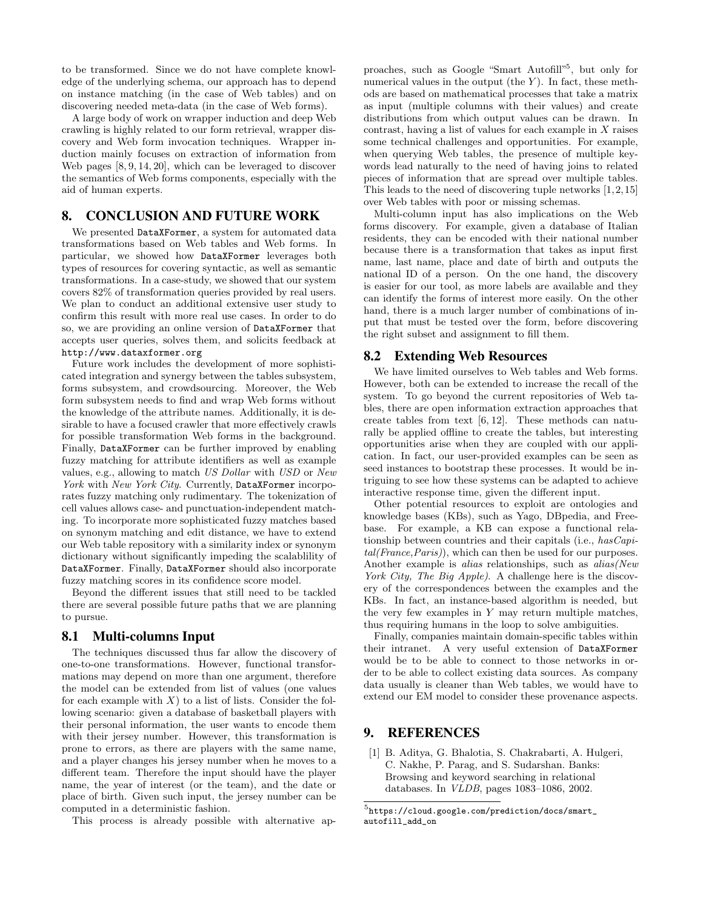to be transformed. Since we do not have complete knowledge of the underlying schema, our approach has to depend on instance matching (in the case of Web tables) and on discovering needed meta-data (in the case of Web forms).

A large body of work on wrapper induction and deep Web crawling is highly related to our form retrieval, wrapper discovery and Web form invocation techniques. Wrapper induction mainly focuses on extraction of information from Web pages [8, 9, 14, 20], which can be leveraged to discover the semantics of Web forms components, especially with the aid of human experts.

## 8. CONCLUSION AND FUTURE WORK

We presented DataXFormer, a system for automated data transformations based on Web tables and Web forms. In particular, we showed how DataXFormer leverages both types of resources for covering syntactic, as well as semantic transformations. In a case-study, we showed that our system covers 82% of transformation queries provided by real users. We plan to conduct an additional extensive user study to confirm this result with more real use cases. In order to do so, we are providing an online version of DataXFormer that accepts user queries, solves them, and solicits feedback at http://www.dataxformer.org

Future work includes the development of more sophisticated integration and synergy between the tables subsystem, forms subsystem, and crowdsourcing. Moreover, the Web form subsystem needs to find and wrap Web forms without the knowledge of the attribute names. Additionally, it is desirable to have a focused crawler that more effectively crawls for possible transformation Web forms in the background. Finally, DataXFormer can be further improved by enabling fuzzy matching for attribute identifiers as well as example values, e.g., allowing to match US Dollar with USD or New York with New York City. Currently, DataXFormer incorporates fuzzy matching only rudimentary. The tokenization of cell values allows case- and punctuation-independent matching. To incorporate more sophisticated fuzzy matches based on synonym matching and edit distance, we have to extend our Web table repository with a similarity index or synonym dictionary without significantly impeding the scalablility of DataXFormer. Finally, DataXFormer should also incorporate fuzzy matching scores in its confidence score model.

Beyond the different issues that still need to be tackled there are several possible future paths that we are planning to pursue.

### 8.1 Multi-columns Input

The techniques discussed thus far allow the discovery of one-to-one transformations. However, functional transformations may depend on more than one argument, therefore the model can be extended from list of values (one values for each example with  $X$ ) to a list of lists. Consider the following scenario: given a database of basketball players with their personal information, the user wants to encode them with their jersey number. However, this transformation is prone to errors, as there are players with the same name, and a player changes his jersey number when he moves to a different team. Therefore the input should have the player name, the year of interest (or the team), and the date or place of birth. Given such input, the jersey number can be computed in a deterministic fashion.

This process is already possible with alternative ap-

proaches, such as Google "Smart Autofill"<sup>5</sup> , but only for numerical values in the output (the  $Y$ ). In fact, these methods are based on mathematical processes that take a matrix as input (multiple columns with their values) and create distributions from which output values can be drawn. In contrast, having a list of values for each example in X raises some technical challenges and opportunities. For example, when querying Web tables, the presence of multiple keywords lead naturally to the need of having joins to related pieces of information that are spread over multiple tables. This leads to the need of discovering tuple networks [1,2,15] over Web tables with poor or missing schemas.

Multi-column input has also implications on the Web forms discovery. For example, given a database of Italian residents, they can be encoded with their national number because there is a transformation that takes as input first name, last name, place and date of birth and outputs the national ID of a person. On the one hand, the discovery is easier for our tool, as more labels are available and they can identify the forms of interest more easily. On the other hand, there is a much larger number of combinations of input that must be tested over the form, before discovering the right subset and assignment to fill them.

### 8.2 Extending Web Resources

We have limited ourselves to Web tables and Web forms. However, both can be extended to increase the recall of the system. To go beyond the current repositories of Web tables, there are open information extraction approaches that create tables from text [6, 12]. These methods can naturally be applied offline to create the tables, but interesting opportunities arise when they are coupled with our application. In fact, our user-provided examples can be seen as seed instances to bootstrap these processes. It would be intriguing to see how these systems can be adapted to achieve interactive response time, given the different input.

Other potential resources to exploit are ontologies and knowledge bases (KBs), such as Yago, DBpedia, and Freebase. For example, a KB can expose a functional relationship between countries and their capitals (i.e., hasCapital(France,Paris)), which can then be used for our purposes. Another example is alias relationships, such as alias(New York City, The Big Apple). A challenge here is the discovery of the correspondences between the examples and the KBs. In fact, an instance-based algorithm is needed, but the very few examples in  $Y$  may return multiple matches, thus requiring humans in the loop to solve ambiguities.

Finally, companies maintain domain-specific tables within their intranet. A very useful extension of DataXFormer would be to be able to connect to those networks in order to be able to collect existing data sources. As company data usually is cleaner than Web tables, we would have to extend our EM model to consider these provenance aspects.

### 9. REFERENCES

[1] B. Aditya, G. Bhalotia, S. Chakrabarti, A. Hulgeri, C. Nakhe, P. Parag, and S. Sudarshan. Banks: Browsing and keyword searching in relational databases. In VLDB, pages 1083–1086, 2002.

 $^5$ https://cloud.google.com/prediction/docs/smart\_ autofill\_add\_on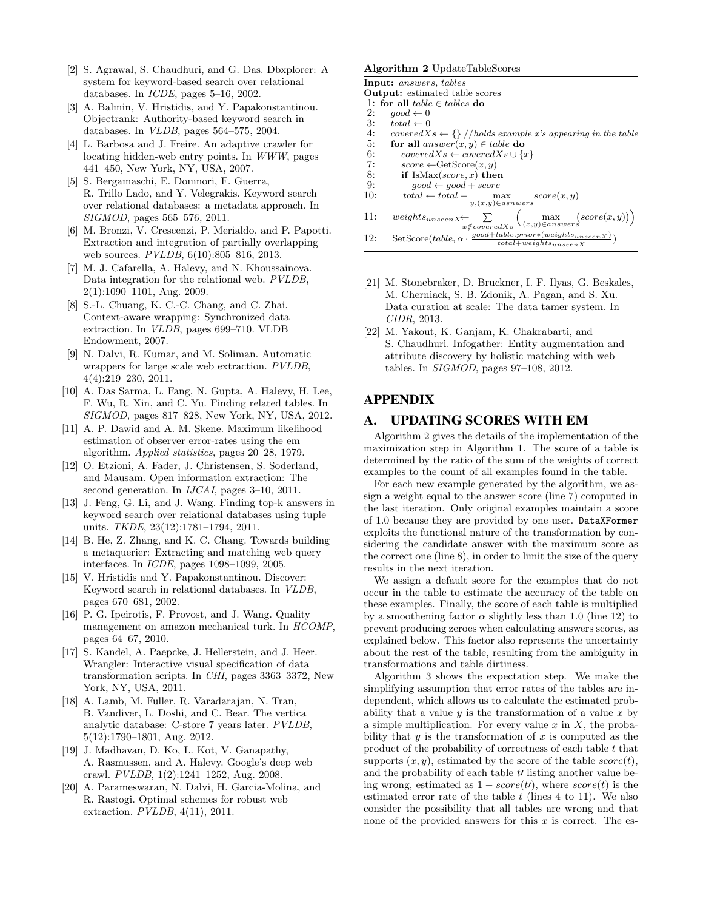- [2] S. Agrawal, S. Chaudhuri, and G. Das. Dbxplorer: A system for keyword-based search over relational databases. In ICDE, pages 5–16, 2002.
- [3] A. Balmin, V. Hristidis, and Y. Papakonstantinou. Objectrank: Authority-based keyword search in databases. In VLDB, pages 564–575, 2004.
- [4] L. Barbosa and J. Freire. An adaptive crawler for locating hidden-web entry points. In WWW, pages 441–450, New York, NY, USA, 2007.
- [5] S. Bergamaschi, E. Domnori, F. Guerra, R. Trillo Lado, and Y. Velegrakis. Keyword search over relational databases: a metadata approach. In SIGMOD, pages 565–576, 2011.
- [6] M. Bronzi, V. Crescenzi, P. Merialdo, and P. Papotti. Extraction and integration of partially overlapping web sources. PVLDB, 6(10):805–816, 2013.
- [7] M. J. Cafarella, A. Halevy, and N. Khoussainova. Data integration for the relational web. PVLDB, 2(1):1090–1101, Aug. 2009.
- [8] S.-L. Chuang, K. C.-C. Chang, and C. Zhai. Context-aware wrapping: Synchronized data extraction. In VLDB, pages 699–710. VLDB Endowment, 2007.
- [9] N. Dalvi, R. Kumar, and M. Soliman. Automatic wrappers for large scale web extraction. PVLDB, 4(4):219–230, 2011.
- [10] A. Das Sarma, L. Fang, N. Gupta, A. Halevy, H. Lee, F. Wu, R. Xin, and C. Yu. Finding related tables. In SIGMOD, pages 817–828, New York, NY, USA, 2012.
- [11] A. P. Dawid and A. M. Skene. Maximum likelihood estimation of observer error-rates using the em algorithm. Applied statistics, pages 20–28, 1979.
- [12] O. Etzioni, A. Fader, J. Christensen, S. Soderland, and Mausam. Open information extraction: The second generation. In *IJCAI*, pages 3-10, 2011.
- [13] J. Feng, G. Li, and J. Wang. Finding top-k answers in keyword search over relational databases using tuple units. TKDE, 23(12):1781-1794, 2011.
- [14] B. He, Z. Zhang, and K. C. Chang. Towards building a metaquerier: Extracting and matching web query interfaces. In ICDE, pages 1098–1099, 2005.
- [15] V. Hristidis and Y. Papakonstantinou. Discover: Keyword search in relational databases. In VLDB, pages 670–681, 2002.
- [16] P. G. Ipeirotis, F. Provost, and J. Wang. Quality management on amazon mechanical turk. In HCOMP, pages 64–67, 2010.
- [17] S. Kandel, A. Paepcke, J. Hellerstein, and J. Heer. Wrangler: Interactive visual specification of data transformation scripts. In CHI, pages 3363–3372, New York, NY, USA, 2011.
- [18] A. Lamb, M. Fuller, R. Varadarajan, N. Tran, B. Vandiver, L. Doshi, and C. Bear. The vertica analytic database: C-store 7 years later. PVLDB, 5(12):1790–1801, Aug. 2012.
- [19] J. Madhavan, D. Ko, L. Kot, V. Ganapathy, A. Rasmussen, and A. Halevy. Google's deep web crawl. PVLDB, 1(2):1241–1252, Aug. 2008.
- [20] A. Parameswaran, N. Dalvi, H. Garcia-Molina, and R. Rastogi. Optimal schemes for robust web extraction. PVLDB, 4(11), 2011.

#### Algorithm 2 UpdateTableScores

Input: answers, tables

- Output: estimated table scores
- 1: for all  $table \in tables$  do<br>2:  $good \leftarrow 0$
- $good \leftarrow 0$
- 3:  $total \leftarrow 0$ <br>4:  $coveredX$
- $coveredXs \leftarrow \{\}/holds\ example\ x's\ appearing\ in\ the\ table$
- 5: for all  $answer(x, y) \in table$  do
- 6: coveredXs ← coveredXs ∪ {x}<br>7: score ← GetScore $(x, y)$
- 7:  $score \leftarrow GetScore(x, y)$ <br>8: **if** IsMax(*score, x*) then
- 8: if IsMax(score, x) then<br>9:  $qood \leftarrow qood + score$
- $good \leftarrow good + score$ 10:  $total \leftarrow total + \qquad max$ y,(x,y)∈asnwers  $score(x, y)$
- 11:  $weights_{unseen X} \leftarrow$  $\Sigma$  $x \notin coveredXs$  $\left(\max_{(x,y)\in answers}(score(x,y))\right)$ 12: SetScore $(table, \alpha \cdot \frac{good + table \cdot prior * (weights_{unseen X})}{total + weights} )$  $total+weights_{unseenX}$
- [21] M. Stonebraker, D. Bruckner, I. F. Ilyas, G. Beskales, M. Cherniack, S. B. Zdonik, A. Pagan, and S. Xu. Data curation at scale: The data tamer system. In CIDR, 2013.
- [22] M. Yakout, K. Ganjam, K. Chakrabarti, and S. Chaudhuri. Infogather: Entity augmentation and attribute discovery by holistic matching with web tables. In SIGMOD, pages 97–108, 2012.

# APPENDIX

### A. UPDATING SCORES WITH EM

Algorithm 2 gives the details of the implementation of the maximization step in Algorithm 1. The score of a table is determined by the ratio of the sum of the weights of correct examples to the count of all examples found in the table.

For each new example generated by the algorithm, we assign a weight equal to the answer score (line 7) computed in the last iteration. Only original examples maintain a score of 1.0 because they are provided by one user. DataXFormer exploits the functional nature of the transformation by considering the candidate answer with the maximum score as the correct one (line 8), in order to limit the size of the query results in the next iteration.

We assign a default score for the examples that do not occur in the table to estimate the accuracy of the table on these examples. Finally, the score of each table is multiplied by a smoothening factor  $\alpha$  slightly less than 1.0 (line 12) to prevent producing zeroes when calculating answers scores, as explained below. This factor also represents the uncertainty about the rest of the table, resulting from the ambiguity in transformations and table dirtiness.

Algorithm 3 shows the expectation step. We make the simplifying assumption that error rates of the tables are independent, which allows us to calculate the estimated probability that a value  $y$  is the transformation of a value  $x$  by a simple multiplication. For every value  $x$  in  $X$ , the probability that  $y$  is the transformation of  $x$  is computed as the product of the probability of correctness of each table  $t$  that supports  $(x, y)$ , estimated by the score of the table  $score(t)$ , and the probability of each table  $t$  listing another value being wrong, estimated as  $1 - score(t)$ , where  $score(t)$  is the estimated error rate of the table  $t$  (lines 4 to 11). We also consider the possibility that all tables are wrong and that none of the provided answers for this  $x$  is correct. The es-